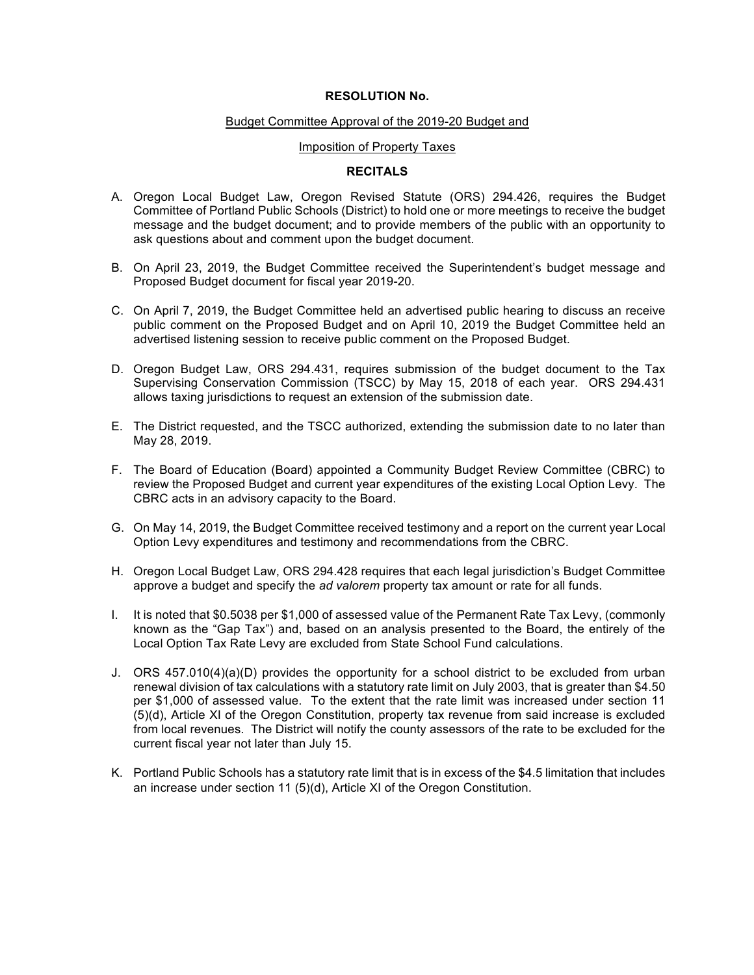# **RESOLUTION No.**

### Budget Committee Approval of the 2019-20 Budget and

#### Imposition of Property Taxes

## **RECITALS**

- A. Oregon Local Budget Law, Oregon Revised Statute (ORS) 294.426, requires the Budget Committee of Portland Public Schools (District) to hold one or more meetings to receive the budget message and the budget document; and to provide members of the public with an opportunity to ask questions about and comment upon the budget document.
- B. On April 23, 2019, the Budget Committee received the Superintendent's budget message and Proposed Budget document for fiscal year 2019-20.
- C. On April 7, 2019, the Budget Committee held an advertised public hearing to discuss an receive public comment on the Proposed Budget and on April 10, 2019 the Budget Committee held an advertised listening session to receive public comment on the Proposed Budget.
- D. Oregon Budget Law, ORS 294.431, requires submission of the budget document to the Tax Supervising Conservation Commission (TSCC) by May 15, 2018 of each year. ORS 294.431 allows taxing jurisdictions to request an extension of the submission date.
- E. The District requested, and the TSCC authorized, extending the submission date to no later than May 28, 2019.
- F. The Board of Education (Board) appointed a Community Budget Review Committee (CBRC) to review the Proposed Budget and current year expenditures of the existing Local Option Levy. The CBRC acts in an advisory capacity to the Board.
- G. On May 14, 2019, the Budget Committee received testimony and a report on the current year Local Option Levy expenditures and testimony and recommendations from the CBRC.
- H. Oregon Local Budget Law, ORS 294.428 requires that each legal jurisdiction's Budget Committee approve a budget and specify the *ad valorem* property tax amount or rate for all funds.
- I. It is noted that \$0.5038 per \$1,000 of assessed value of the Permanent Rate Tax Levy, (commonly known as the "Gap Tax") and, based on an analysis presented to the Board, the entirely of the Local Option Tax Rate Levy are excluded from State School Fund calculations.
- J. ORS 457.010(4)(a)(D) provides the opportunity for a school district to be excluded from urban renewal division of tax calculations with a statutory rate limit on July 2003, that is greater than \$4.50 per \$1,000 of assessed value. To the extent that the rate limit was increased under section 11 (5)(d), Article XI of the Oregon Constitution, property tax revenue from said increase is excluded from local revenues. The District will notify the county assessors of the rate to be excluded for the current fiscal year not later than July 15.
- K. Portland Public Schools has a statutory rate limit that is in excess of the \$4.5 limitation that includes an increase under section 11 (5)(d), Article XI of the Oregon Constitution.